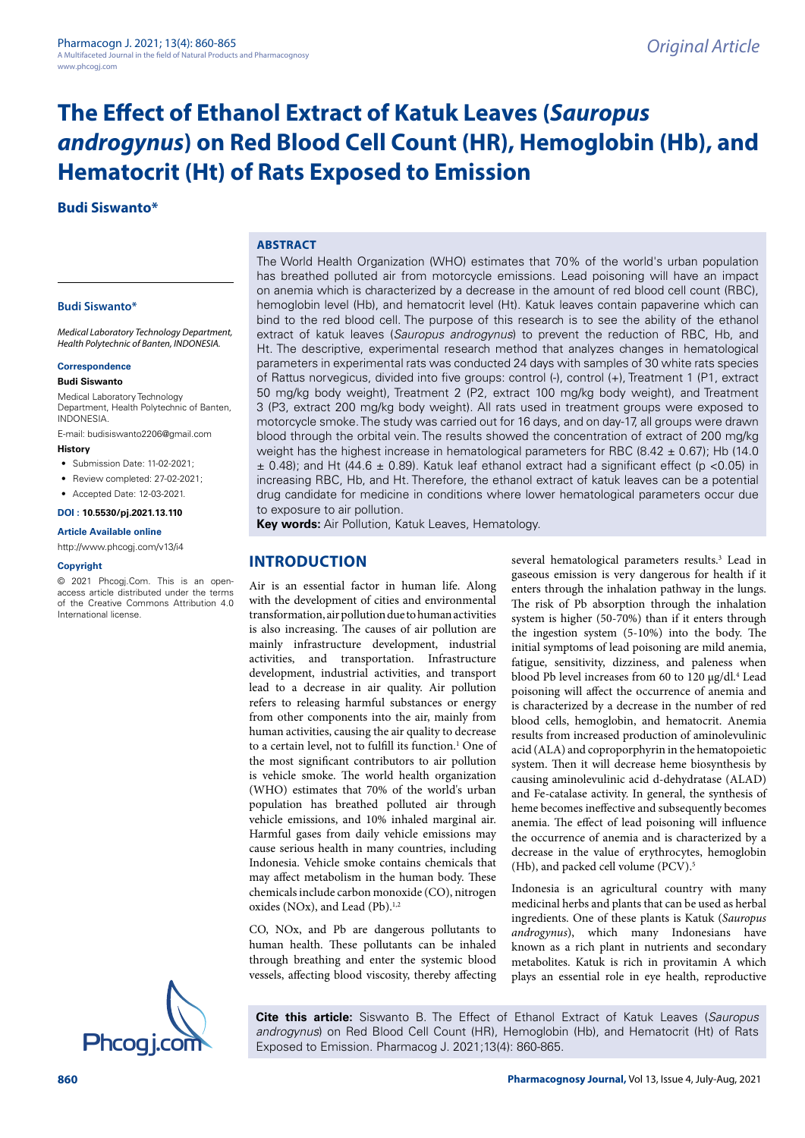# **The Effect of Ethanol Extract of Katuk Leaves (***Sauropus androgynus***) on Red Blood Cell Count (HR), Hemoglobin (Hb), and Hematocrit (Ht) of Rats Exposed to Emission**

**Budi Siswanto\***

## **ABSTRACT**

### **Budi Siswanto\***

*Medical Laboratory Technology Department, Health Polytechnic of Banten, INDONESIA.*

### **Correspondence**

#### **Budi Siswanto**

Medical Laboratory Technology Department, Health Polytechnic of Banten, INDONESIA.

E-mail: [budisiswanto2206@gmail.com](mailto:budisiswanto2206@gmail.com) **History**

- Submission Date: 11-02-2021:
- Review completed: 27-02-2021:
- Accepted Date: 12-03-2021.

### **DOI : 10.5530/pj.2021.13.110**

## **Article Available online**

<http://www.phcogj.com/v13/i4>

#### **Copyright**

© 2021 Phcogj.Com. This is an openaccess article distributed under the terms of the Creative Commons Attribution 4.0 International license.

The World Health Organization (WHO) estimates that 70% of the world's urban population has breathed polluted air from motorcycle emissions. Lead poisoning will have an impact on anemia which is characterized by a decrease in the amount of red blood cell count (RBC), hemoglobin level (Hb), and hematocrit level (Ht). Katuk leaves contain papaverine which can bind to the red blood cell. The purpose of this research is to see the ability of the ethanol extract of katuk leaves (*Sauropus androgynus*) to prevent the reduction of RBC, Hb, and Ht. The descriptive, experimental research method that analyzes changes in hematological parameters in experimental rats was conducted 24 days with samples of 30 white rats species of Rattus norvegicus, divided into five groups: control (-), control (+), Treatment 1 (P1, extract 50 mg/kg body weight), Treatment 2 (P2, extract 100 mg/kg body weight), and Treatment 3 (P3, extract 200 mg/kg body weight). All rats used in treatment groups were exposed to motorcycle smoke. The study was carried out for 16 days, and on day-17, all groups were drawn blood through the orbital vein. The results showed the concentration of extract of 200 mg/kg weight has the highest increase in hematological parameters for RBC (8.42  $\pm$  0.67); Hb (14.0  $\pm$  0.48); and Ht (44.6  $\pm$  0.89). Katuk leaf ethanol extract had a significant effect (p <0.05) in increasing RBC, Hb, and Ht. Therefore, the ethanol extract of katuk leaves can be a potential drug candidate for medicine in conditions where lower hematological parameters occur due to exposure to air pollution.

**Key words:** Air Pollution, Katuk Leaves, Hematology.

# **INTRODUCTION**

Air is an essential factor in human life. Along with the development of cities and environmental transformation, air pollution due to human activities is also increasing. The causes of air pollution are mainly infrastructure development, industrial activities, and transportation. Infrastructure development, industrial activities, and transport lead to a decrease in air quality. Air pollution refers to releasing harmful substances or energy from other components into the air, mainly from human activities, causing the air quality to decrease to a certain level, not to fulfill its function.<sup>1</sup> One of the most significant contributors to air pollution is vehicle smoke. The world health organization (WHO) estimates that 70% of the world's urban population has breathed polluted air through vehicle emissions, and 10% inhaled marginal air. Harmful gases from daily vehicle emissions may cause serious health in many countries, including Indonesia. Vehicle smoke contains chemicals that may affect metabolism in the human body. These chemicals include carbon monoxide (CO), nitrogen oxides (NOx), and Lead (Pb).<sup>1,2</sup>

CO, NOx, and Pb are dangerous pollutants to human health. These pollutants can be inhaled through breathing and enter the systemic blood vessels, affecting blood viscosity, thereby affecting

several hematological parameters results.<sup>3</sup> Lead in gaseous emission is very dangerous for health if it enters through the inhalation pathway in the lungs. The risk of Pb absorption through the inhalation system is higher (50-70%) than if it enters through the ingestion system (5-10%) into the body. The initial symptoms of lead poisoning are mild anemia, fatigue, sensitivity, dizziness, and paleness when blood Pb level increases from 60 to 120 µg/dl.<sup>4</sup> Lead poisoning will affect the occurrence of anemia and is characterized by a decrease in the number of red blood cells, hemoglobin, and hematocrit. Anemia results from increased production of aminolevulinic acid (ALA) and coproporphyrin in the hematopoietic system. Then it will decrease heme biosynthesis by causing aminolevulinic acid d-dehydratase (ALAD) and Fe-catalase activity. In general, the synthesis of heme becomes ineffective and subsequently becomes anemia. The effect of lead poisoning will influence the occurrence of anemia and is characterized by a decrease in the value of erythrocytes, hemoglobin (Hb), and packed cell volume (PCV).<sup>5</sup>

Indonesia is an agricultural country with many medicinal herbs and plants that can be used as herbal ingredients. One of these plants is Katuk (*Sauropus androgynus*), which many Indonesians have known as a rich plant in nutrients and secondary metabolites. Katuk is rich in provitamin A which plays an essential role in eye health, reproductive

**Cite this article:** Siswanto B. The Effect of Ethanol Extract of Katuk Leaves (*Sauropus androgynus*) on Red Blood Cell Count (HR), Hemoglobin (Hb), and Hematocrit (Ht) of Rats Exposed to Emission. Pharmacog J. 2021;13(4): 860-865.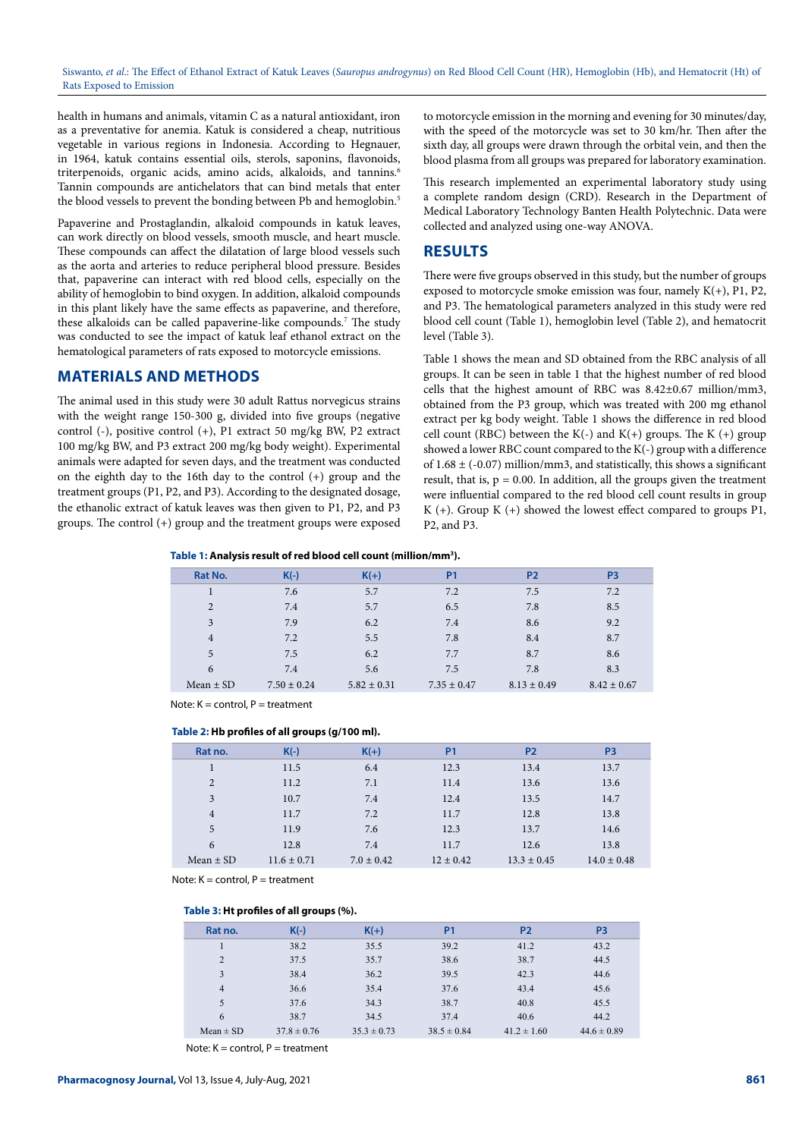Siswanto, *et al*.: The Effect of Ethanol Extract of Katuk Leaves (*Sauropus androgynus*) on Red Blood Cell Count (HR), Hemoglobin (Hb), and Hematocrit (Ht) of Rats Exposed to Emission

health in humans and animals, vitamin C as a natural antioxidant, iron as a preventative for anemia. Katuk is considered a cheap, nutritious vegetable in various regions in Indonesia. According to Hegnauer, in 1964, katuk contains essential oils, sterols, saponins, flavonoids, triterpenoids, organic acids, amino acids, alkaloids, and tannins.<sup>6</sup> Tannin compounds are antichelators that can bind metals that enter the blood vessels to prevent the bonding between Pb and hemoglobin.<sup>5</sup>

Papaverine and Prostaglandin, alkaloid compounds in katuk leaves, can work directly on blood vessels, smooth muscle, and heart muscle. These compounds can affect the dilatation of large blood vessels such as the aorta and arteries to reduce peripheral blood pressure. Besides that, papaverine can interact with red blood cells, especially on the ability of hemoglobin to bind oxygen. In addition, alkaloid compounds in this plant likely have the same effects as papaverine, and therefore, these alkaloids can be called papaverine-like compounds.<sup>7</sup> The study was conducted to see the impact of katuk leaf ethanol extract on the hematological parameters of rats exposed to motorcycle emissions.

## **MATERIALS AND METHODS**

The animal used in this study were 30 adult Rattus norvegicus strains with the weight range 150-300 g, divided into five groups (negative control (-), positive control (+), P1 extract 50 mg/kg BW, P2 extract 100 mg/kg BW, and P3 extract 200 mg/kg body weight). Experimental animals were adapted for seven days, and the treatment was conducted on the eighth day to the 16th day to the control (+) group and the treatment groups (P1, P2, and P3). According to the designated dosage, the ethanolic extract of katuk leaves was then given to P1, P2, and P3 groups. The control (+) group and the treatment groups were exposed

to motorcycle emission in the morning and evening for 30 minutes/day, with the speed of the motorcycle was set to 30 km/hr. Then after the sixth day, all groups were drawn through the orbital vein, and then the blood plasma from all groups was prepared for laboratory examination.

This research implemented an experimental laboratory study using a complete random design (CRD). Research in the Department of Medical Laboratory Technology Banten Health Polytechnic. Data were collected and analyzed using one-way ANOVA.

## **RESULTS**

There were five groups observed in this study, but the number of groups exposed to motorcycle smoke emission was four, namely  $K(+)$ , P1, P2, and P3. The hematological parameters analyzed in this study were red blood cell count (Table 1), hemoglobin level (Table 2), and hematocrit level (Table 3).

Table 1 shows the mean and SD obtained from the RBC analysis of all groups. It can be seen in table 1 that the highest number of red blood cells that the highest amount of RBC was 8.42±0.67 million/mm3, obtained from the P3 group, which was treated with 200 mg ethanol extract per kg body weight. Table 1 shows the difference in red blood cell count (RBC) between the K(-) and K(+) groups. The K (+) group showed a lower RBC count compared to the K(-) group with a difference of  $1.68 \pm (-0.07)$  million/mm3, and statistically, this shows a significant result, that is,  $p = 0.00$ . In addition, all the groups given the treatment were influential compared to the red blood cell count results in group K  $(+)$ . Group K  $(+)$  showed the lowest effect compared to groups P1, P2, and P3.

**Table 1: Analysis result of red blood cell count (million/mm3 ).**

| Rat No.        | $K(-)$          | $K(+)$          | <b>P1</b>       | P <sub>2</sub>  | P <sub>3</sub>  |
|----------------|-----------------|-----------------|-----------------|-----------------|-----------------|
|                | 7.6             | 5.7             | 7.2             | 7.5             | 7.2             |
| 2              | 7.4             | 5.7             | 6.5             | 7.8             | 8.5             |
| 3              | 7.9             | 6.2             | 7.4             | 8.6             | 9.2             |
| $\overline{4}$ | 7.2             | 5.5             | 7.8             | 8.4             | 8.7             |
| $\overline{5}$ | 7.5             | 6.2             | 7.7             | 8.7             | 8.6             |
| 6              | 7.4             | 5.6             | 7.5             | 7.8             | 8.3             |
| Mean $\pm$ SD  | $7.50 \pm 0.24$ | $5.82 \pm 0.31$ | $7.35 \pm 0.47$ | $8.13 \pm 0.49$ | $8.42 \pm 0.67$ |

Note:  $K =$  control,  $P =$  treatment

### **Table 2: Hb profiles of all groups (g/100 ml).**

| Rat no.        | $K(-)$          | $K(+)$         | <b>P1</b>     | P <sub>2</sub>  | P <sub>3</sub>  |
|----------------|-----------------|----------------|---------------|-----------------|-----------------|
|                | 11.5            | 6.4            | 12.3          | 13.4            | 13.7            |
| 2              | 11.2            | 7.1            | 11.4          | 13.6            | 13.6            |
| 3              | 10.7            | 7.4            | 12.4          | 13.5            | 14.7            |
| $\overline{4}$ | 11.7            | 7.2            | 11.7          | 12.8            | 13.8            |
| 5              | 11.9            | 7.6            | 12.3          | 13.7            | 14.6            |
| 6              | 12.8            | 7.4            | 11.7          | 12.6            | 13.8            |
| Mean $\pm$ SD  | $11.6 \pm 0.71$ | $7.0 \pm 0.42$ | $12 \pm 0.42$ | $13.3 \pm 0.45$ | $14.0 \pm 0.48$ |

Note:  $K =$  control,  $P =$  treatment

## **Table 3: Ht profiles of all groups (%).**

| Rat no.        | $K(-)$          | $K(+)$          | <b>P1</b>       | P <sub>2</sub>  | P <sub>3</sub>  |
|----------------|-----------------|-----------------|-----------------|-----------------|-----------------|
|                | 38.2            | 35.5            | 39.2            | 41.2            | 43.2            |
| 2              | 37.5            | 35.7            | 38.6            | 38.7            | 44.5            |
| 3              | 38.4            | 36.2            | 39.5            | 42.3            | 44.6            |
| $\overline{4}$ | 36.6            | 35.4            | 37.6            | 43.4            | 45.6            |
| 5              | 37.6            | 34.3            | 38.7            | 40.8            | 45.5            |
| 6              | 38.7            | 34.5            | 37.4            | 40.6            | 44.2            |
| $Mean \pm SD$  | $37.8 \pm 0.76$ | $35.3 \pm 0.73$ | $38.5 \pm 0.84$ | $41.2 \pm 1.60$ | $44.6 \pm 0.89$ |

Note:  $K = \text{control}$ ,  $P = \text{treatment}$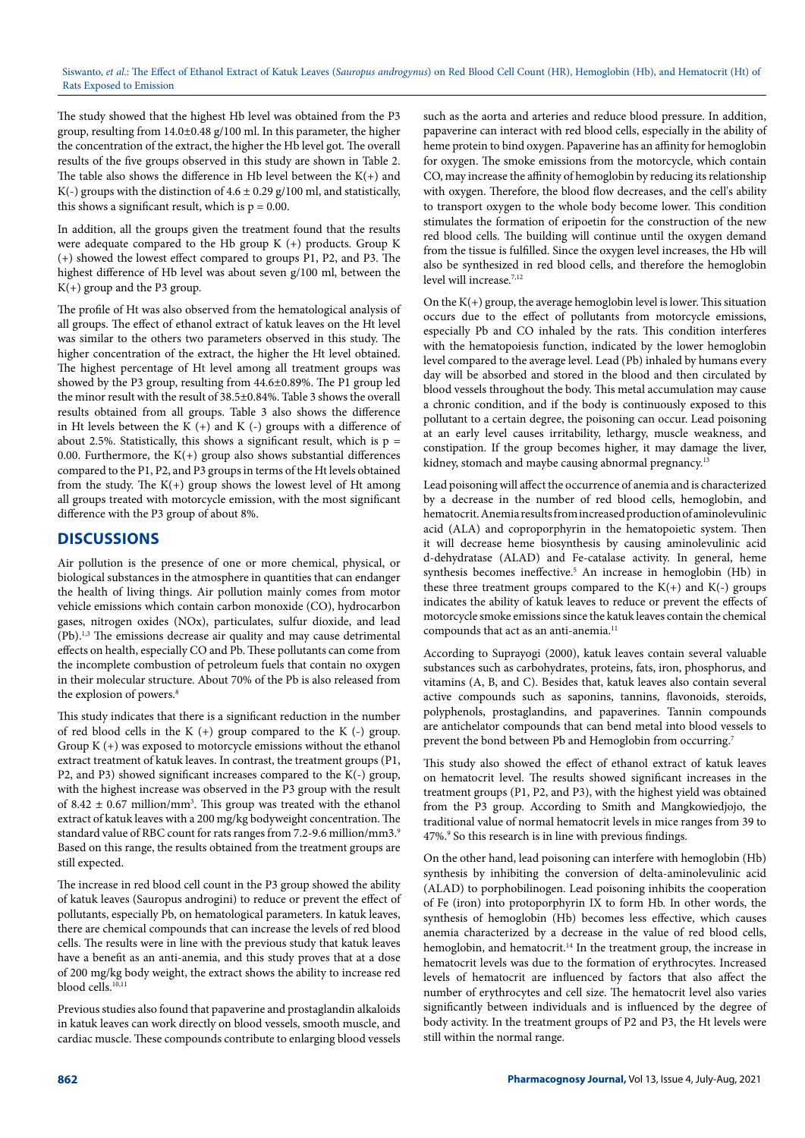The study showed that the highest Hb level was obtained from the P3 group, resulting from 14.0±0.48 g/100 ml. In this parameter, the higher the concentration of the extract, the higher the Hb level got. The overall results of the five groups observed in this study are shown in Table 2. The table also shows the difference in Hb level between the  $K(+)$  and K(-) groups with the distinction of  $4.6 \pm 0.29$  g/100 ml, and statistically, this shows a significant result, which is  $p = 0.00$ .

In addition, all the groups given the treatment found that the results were adequate compared to the Hb group K (+) products. Group K (+) showed the lowest effect compared to groups P1, P2, and P3. The highest difference of Hb level was about seven g/100 ml, between the K(+) group and the P3 group.

The profile of Ht was also observed from the hematological analysis of all groups. The effect of ethanol extract of katuk leaves on the Ht level was similar to the others two parameters observed in this study. The higher concentration of the extract, the higher the Ht level obtained. The highest percentage of Ht level among all treatment groups was showed by the P3 group, resulting from 44.6±0.89%. The P1 group led the minor result with the result of 38.5±0.84%. Table 3 shows the overall results obtained from all groups. Table 3 also shows the difference in Ht levels between the K  $(+)$  and K  $(-)$  groups with a difference of about 2.5%. Statistically, this shows a significant result, which is  $p =$ 0.00. Furthermore, the  $K(+)$  group also shows substantial differences compared to the P1, P2, and P3 groups in terms of the Ht levels obtained from the study. The  $K(+)$  group shows the lowest level of Ht among all groups treated with motorcycle emission, with the most significant difference with the P3 group of about 8%.

## **DISCUSSIONS**

Air pollution is the presence of one or more chemical, physical, or biological substances in the atmosphere in quantities that can endanger the health of living things. Air pollution mainly comes from motor vehicle emissions which contain carbon monoxide (CO), hydrocarbon gases, nitrogen oxides (NOx), particulates, sulfur dioxide, and lead (Pb).1,3 The emissions decrease air quality and may cause detrimental effects on health, especially CO and Pb. These pollutants can come from the incomplete combustion of petroleum fuels that contain no oxygen in their molecular structure. About 70% of the Pb is also released from the explosion of powers.<sup>8</sup>

This study indicates that there is a significant reduction in the number of red blood cells in the K  $(+)$  group compared to the K  $(-)$  group. Group K (+) was exposed to motorcycle emissions without the ethanol extract treatment of katuk leaves. In contrast, the treatment groups (P1, P2, and P3) showed significant increases compared to the K(-) group, with the highest increase was observed in the P3 group with the result of 8.42  $\pm$  0.67 million/mm<sup>3</sup>. This group was treated with the ethanol extract of katuk leaves with a 200 mg/kg bodyweight concentration. The standard value of RBC count for rats ranges from 7.2-9.6 million/mm3.9 Based on this range, the results obtained from the treatment groups are still expected.

The increase in red blood cell count in the P3 group showed the ability of katuk leaves (Sauropus androgini) to reduce or prevent the effect of pollutants, especially Pb, on hematological parameters. In katuk leaves, there are chemical compounds that can increase the levels of red blood cells. The results were in line with the previous study that katuk leaves have a benefit as an anti-anemia, and this study proves that at a dose of 200 mg/kg body weight, the extract shows the ability to increase red blood cells.10,11

Previous studies also found that papaverine and prostaglandin alkaloids in katuk leaves can work directly on blood vessels, smooth muscle, and cardiac muscle. These compounds contribute to enlarging blood vessels

such as the aorta and arteries and reduce blood pressure. In addition, papaverine can interact with red blood cells, especially in the ability of heme protein to bind oxygen. Papaverine has an affinity for hemoglobin for oxygen. The smoke emissions from the motorcycle, which contain CO, may increase the affinity of hemoglobin by reducing its relationship with oxygen. Therefore, the blood flow decreases, and the cell's ability to transport oxygen to the whole body become lower. This condition stimulates the formation of eripoetin for the construction of the new red blood cells. The building will continue until the oxygen demand from the tissue is fulfilled. Since the oxygen level increases, the Hb will also be synthesized in red blood cells, and therefore the hemoglobin level will increase.<sup>7,12</sup>

On the K(+) group, the average hemoglobin level is lower. This situation occurs due to the effect of pollutants from motorcycle emissions, especially Pb and CO inhaled by the rats. This condition interferes with the hematopoiesis function, indicated by the lower hemoglobin level compared to the average level. Lead (Pb) inhaled by humans every day will be absorbed and stored in the blood and then circulated by blood vessels throughout the body. This metal accumulation may cause a chronic condition, and if the body is continuously exposed to this pollutant to a certain degree, the poisoning can occur. Lead poisoning at an early level causes irritability, lethargy, muscle weakness, and constipation. If the group becomes higher, it may damage the liver, kidney, stomach and maybe causing abnormal pregnancy.<sup>13</sup>

Lead poisoning will affect the occurrence of anemia and is characterized by a decrease in the number of red blood cells, hemoglobin, and hematocrit. Anemia results from increased production of aminolevulinic acid (ALA) and coproporphyrin in the hematopoietic system. Then it will decrease heme biosynthesis by causing aminolevulinic acid d-dehydratase (ALAD) and Fe-catalase activity. In general, heme synthesis becomes ineffective.<sup>5</sup> An increase in hemoglobin (Hb) in these three treatment groups compared to the  $K(+)$  and  $K(-)$  groups indicates the ability of katuk leaves to reduce or prevent the effects of motorcycle smoke emissions since the katuk leaves contain the chemical compounds that act as an anti-anemia.<sup>11</sup>

According to Suprayogi (2000), katuk leaves contain several valuable substances such as carbohydrates, proteins, fats, iron, phosphorus, and vitamins (A, B, and C). Besides that, katuk leaves also contain several active compounds such as saponins, tannins, flavonoids, steroids, polyphenols, prostaglandins, and papaverines. Tannin compounds are antichelator compounds that can bend metal into blood vessels to prevent the bond between Pb and Hemoglobin from occurring.<sup>7</sup>

This study also showed the effect of ethanol extract of katuk leaves on hematocrit level. The results showed significant increases in the treatment groups (P1, P2, and P3), with the highest yield was obtained from the P3 group. According to Smith and Mangkowiedjojo, the traditional value of normal hematocrit levels in mice ranges from 39 to 47%.<sup>9</sup> So this research is in line with previous findings.

On the other hand, lead poisoning can interfere with hemoglobin (Hb) synthesis by inhibiting the conversion of delta-aminolevulinic acid (ALAD) to porphobilinogen. Lead poisoning inhibits the cooperation of Fe (iron) into protoporphyrin IX to form Hb. In other words, the synthesis of hemoglobin (Hb) becomes less effective, which causes anemia characterized by a decrease in the value of red blood cells, hemoglobin, and hematocrit.<sup>14</sup> In the treatment group, the increase in hematocrit levels was due to the formation of erythrocytes. Increased levels of hematocrit are influenced by factors that also affect the number of erythrocytes and cell size. The hematocrit level also varies significantly between individuals and is influenced by the degree of body activity. In the treatment groups of P2 and P3, the Ht levels were still within the normal range.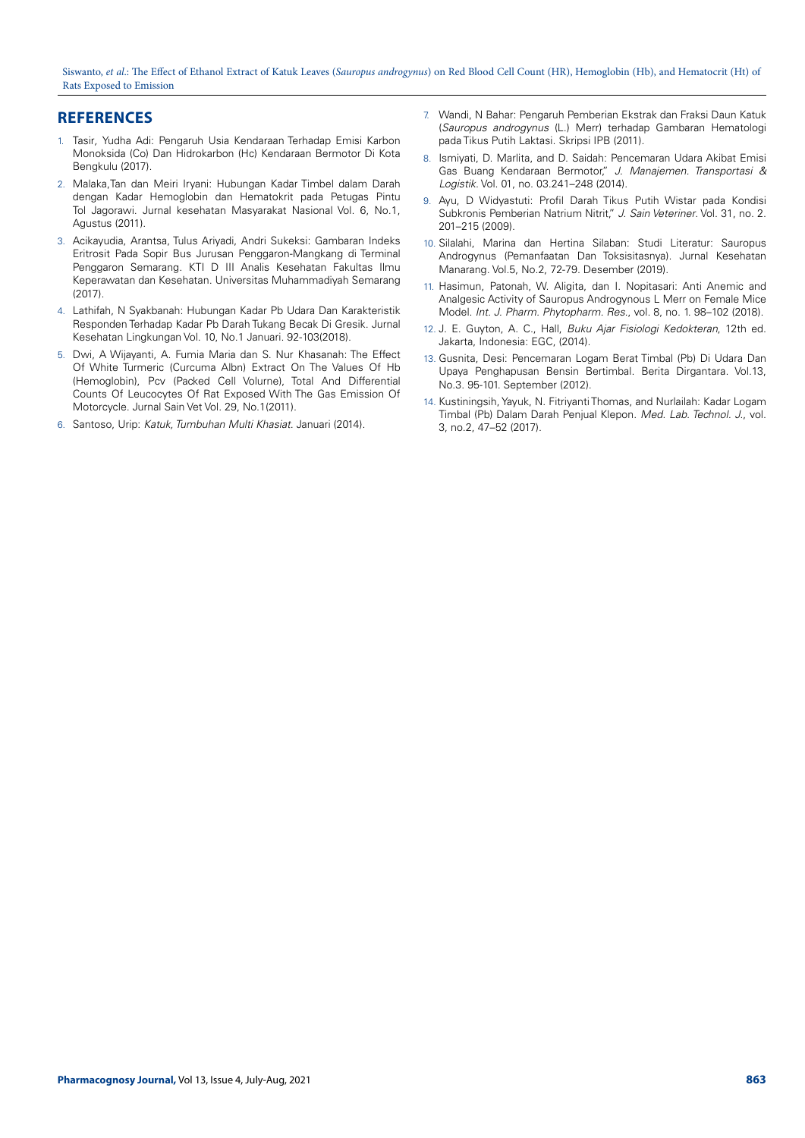Siswanto, *et al*.: The Effect of Ethanol Extract of Katuk Leaves (*Sauropus androgynus*) on Red Blood Cell Count (HR), Hemoglobin (Hb), and Hematocrit (Ht) of Rats Exposed to Emission

## **REFERENCES**

- 1. Tasir*,* Yudha Adi: Pengaruh Usia Kendaraan Terhadap Emisi Karbon Monoksida (Co) Dan Hidrokarbon (Hc) Kendaraan Bermotor Di Kota Bengkulu (2017).
- 2. Malaka,Tan dan Meiri Iryani: Hubungan Kadar Timbel dalam Darah dengan Kadar Hemoglobin dan Hematokrit pada Petugas Pintu Tol Jagorawi. Jurnal kesehatan Masyarakat Nasional Vol. 6, No.1, Agustus (2011).
- 3. Acikayudia, Arantsa, Tulus Ariyadi, Andri Sukeksi: Gambaran Indeks Eritrosit Pada Sopir Bus Jurusan Penggaron-Mangkang di Terminal Penggaron Semarang. KTI D III Analis Kesehatan Fakultas Ilmu Keperawatan dan Kesehatan. Universitas Muhammadiyah Semarang  $(2017)$
- 4. Lathifah, N Syakbanah: Hubungan Kadar Pb Udara Dan Karakteristik Responden Terhadap Kadar Pb Darah Tukang Becak Di Gresik. Jurnal Kesehatan Lingkungan Vol. 10, No.1 Januari. 92-103(2018).
- 5. Dwi, A Wijayanti, A. Fumia Maria dan S. Nur Khasanah: The Effect Of White Turmeric (Curcuma Albn) Extract On The Values Of Hb (Hemoglobin), Pcv (Packed Cell Volurne), Total And Differential Counts Of Leucocytes Of Rat Exposed With The Gas Emission Of Motorcycle. Jurnal Sain Vet Vol. 29, No.1(2011).
- 6. Santoso, Urip: *Katuk, Tumbuhan Multi Khasiat*. Januari (2014).
- 7. Wandi, N Bahar: Pengaruh Pemberian Ekstrak dan Fraksi Daun Katuk (*Sauropus androgynus* (L.) Merr) terhadap Gambaran Hematologi pada Tikus Putih Laktasi. Skripsi IPB (2011).
- 8. Ismiyati, D. Marlita, and D. Saidah: Pencemaran Udara Akibat Emisi Gas Buang Kendaraan Bermotor," *J. Manajemen. Transportasi & Logistik*. Vol. 01, no. 03.241–248 (2014).
- 9. Ayu, D Widyastuti: Profil Darah Tikus Putih Wistar pada Kondisi Subkronis Pemberian Natrium Nitrit," *J. Sain Veteriner*. Vol. 31, no. 2. 201–215 (2009).
- 10. Silalahi, Marina dan Hertina Silaban: Studi Literatur: Sauropus Androgynus (Pemanfaatan Dan Toksisitasnya). Jurnal Kesehatan Manarang. Vol.5, No.2, 72-79. Desember (2019).
- 11. Hasimun, Patonah, W. Aligita, dan I. Nopitasari: Anti Anemic and Analgesic Activity of Sauropus Androgynous L Merr on Female Mice Model. *Int. J. Pharm. Phytopharm. Res.*, vol. 8, no. 1. 98–102 (2018).
- 12. J. E. Guyton, A. C., Hall, *Buku Ajar Fisiologi Kedokteran*, 12th ed. Jakarta, Indonesia: EGC, (2014).
- 13. Gusnita, Desi: Pencemaran Logam Berat Timbal (Pb) Di Udara Dan Upaya Penghapusan Bensin Bertimbal. Berita Dirgantara. Vol.13, No.3. 95-101. September (2012).
- 14. Kustiningsih, Yayuk, N. Fitriyanti Thomas, and Nurlailah: Kadar Logam Timbal (Pb) Dalam Darah Penjual Klepon. *Med. Lab. Technol. J.*, vol. 3, no.2, 47–52 (2017).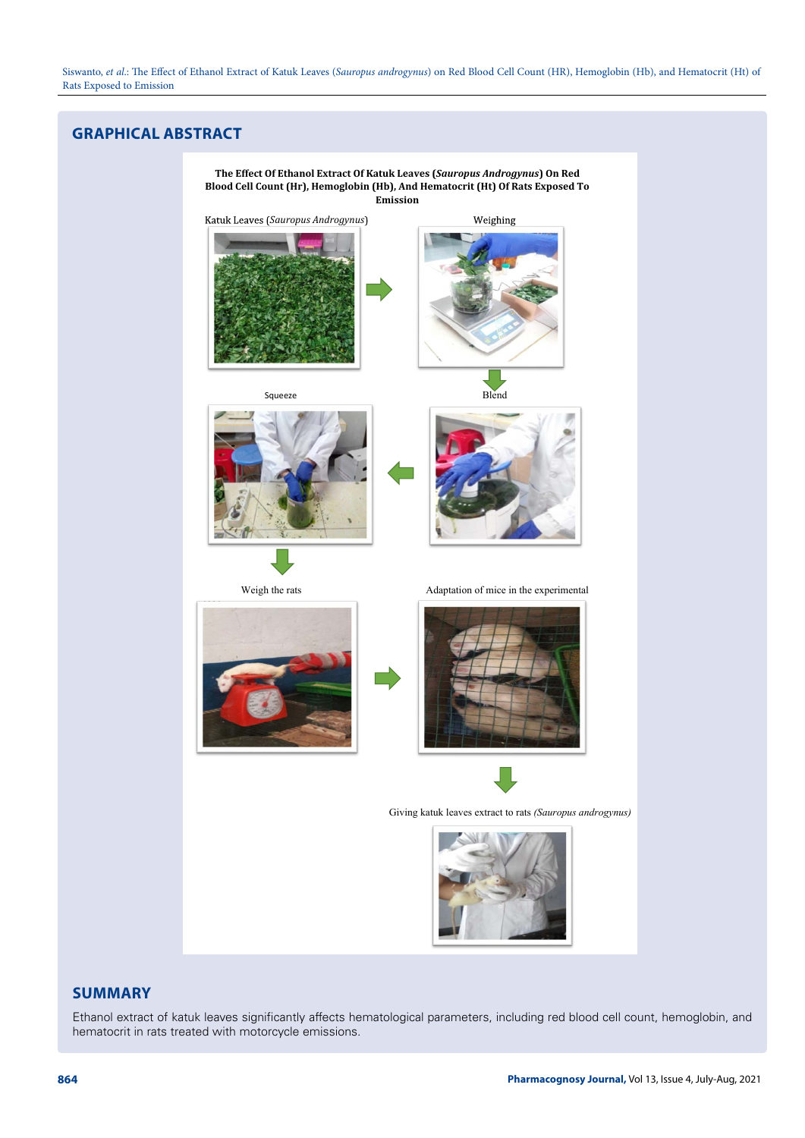# **GRAPHICAL ABSTRACT**



## **SUMMARY**

Ethanol extract of katuk leaves significantly affects hematological parameters, including red blood cell count, hemoglobin, and hematocrit in rats treated with motorcycle emissions.